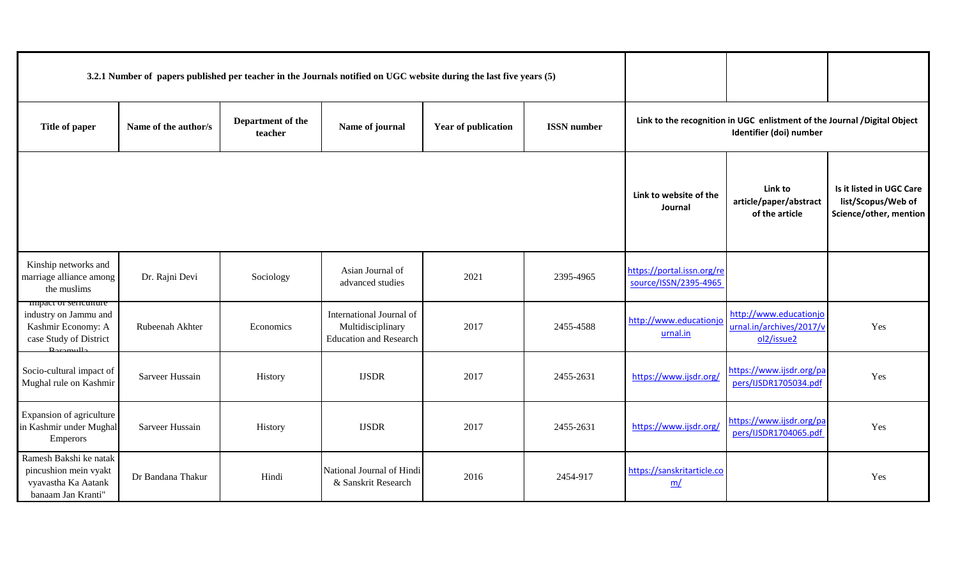| 3.2.1 Number of papers published per teacher in the Journals notified on UGC website during the last five years (5) |                      |                              |                                                                                |                     |                    |                                                     |                                                                                                     |                                                                          |  |
|---------------------------------------------------------------------------------------------------------------------|----------------------|------------------------------|--------------------------------------------------------------------------------|---------------------|--------------------|-----------------------------------------------------|-----------------------------------------------------------------------------------------------------|--------------------------------------------------------------------------|--|
| Title of paper                                                                                                      | Name of the author/s | Department of the<br>teacher | Name of journal                                                                | Year of publication | <b>ISSN</b> number |                                                     | Link to the recognition in UGC enlistment of the Journal /Digital Object<br>Identifier (doi) number |                                                                          |  |
|                                                                                                                     |                      |                              |                                                                                |                     |                    | Link to website of the<br>Journal                   | Link to<br>article/paper/abstract<br>of the article                                                 | Is it listed in UGC Care<br>list/Scopus/Web of<br>Science/other, mention |  |
| Kinship networks and<br>marriage alliance among<br>the muslims                                                      | Dr. Rajni Devi       | Sociology                    | Asian Journal of<br>advanced studies                                           | 2021                | 2395-4965          | https://portal.issn.org/re<br>source/ISSN/2395-4965 |                                                                                                     |                                                                          |  |
| impact of sericulture<br>industry on Jammu and<br>Kashmir Economy: A<br>case Study of District<br>$D$ aromulla      | Rubeenah Akhter      | Economics                    | International Journal of<br>Multidisciplinary<br><b>Education and Research</b> | 2017                | 2455-4588          | http://www.educationjo<br>urnal.in                  | http://www.educationjo<br>urnal.in/archives/2017/<br>ol2/issue2                                     | Yes                                                                      |  |
| Socio-cultural impact of<br>Mughal rule on Kashmir                                                                  | Sarveer Hussain      | History                      | <b>IJSDR</b>                                                                   | 2017                | 2455-2631          | https://www.ijsdr.org/                              | https://www.ijsdr.org/pa<br>pers/IJSDR1705034.pdf                                                   | Yes                                                                      |  |
| Expansion of agriculture<br>in Kashmir under Mughal<br>Emperors                                                     | Sarveer Hussain      | History                      | <b>IJSDR</b>                                                                   | 2017                | 2455-2631          | https://www.ijsdr.org/                              | https://www.ijsdr.org/pa<br>pers/IJSDR1704065.pdf                                                   | Yes                                                                      |  |
| Ramesh Bakshi ke natak<br>pincushion mein vyakt<br>vyavastha Ka Aatank<br>banaam Jan Kranti"                        | Dr Bandana Thakur    | Hindi                        | National Journal of Hindi<br>& Sanskrit Research                               | 2016                | 2454-917           | https://sanskritarticle.co<br>m/                    |                                                                                                     | Yes                                                                      |  |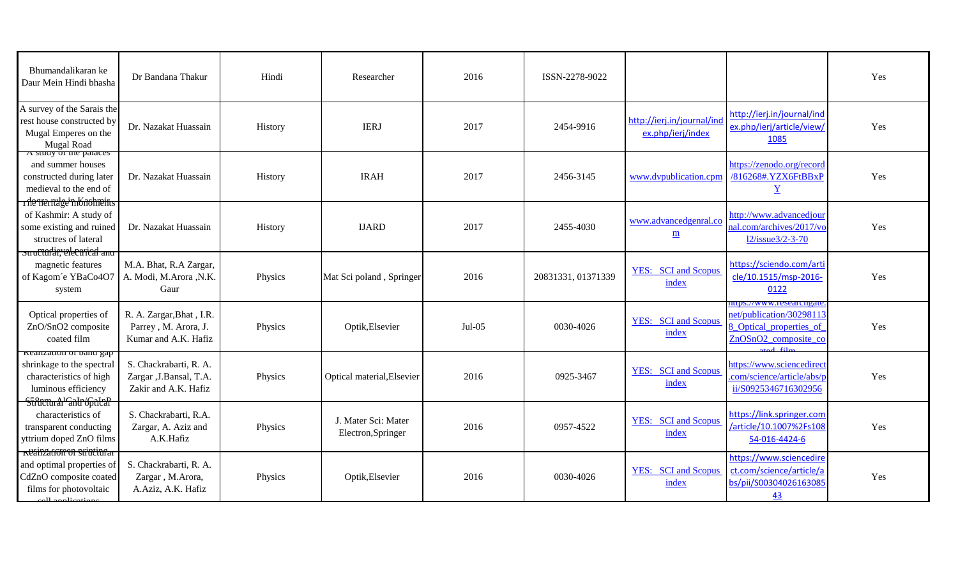| Bhumandalikaran ke<br>Daur Mein Hindi bhasha                                                                                                     | Dr Bandana Thakur                                                          | Hindi   | Researcher                                | 2016     | ISSN-2278-9022     |                                                 |                                                                                                                                           | Yes |
|--------------------------------------------------------------------------------------------------------------------------------------------------|----------------------------------------------------------------------------|---------|-------------------------------------------|----------|--------------------|-------------------------------------------------|-------------------------------------------------------------------------------------------------------------------------------------------|-----|
| A survey of the Sarais the<br>rest house constructed by<br>Mugal Emperes on the<br><b>Mugal Road</b>                                             | Dr. Nazakat Huassain                                                       | History | <b>IERJ</b>                               | 2017     | 2454-9916          | http://ierj.in/journal/ind<br>ex.php/ierj/index | http://ierj.in/journal/ind<br>ex.php/ierj/article/view,<br>1085                                                                           | Yes |
| A study of the paraces<br>and summer houses<br>constructed during later<br>medieval to the end of<br>r de trerruge in Knobreins                  | Dr. Nazakat Huassain                                                       | History | <b>IRAH</b>                               | 2017     | 2456-3145          | www.dvpublication.cpm                           | https://zenodo.org/record<br>/816268#.YZX6FtBBxP<br>$\overline{\mathbf{Y}}$                                                               | Yes |
| of Kashmir: A study of<br>some existing and ruined<br>structres of lateral<br>structuralin; electrical and                                       | Dr. Nazakat Huassain                                                       | History | <b>IJARD</b>                              | 2017     | 2455-4030          | www.advancedgenral.co<br>$\mathbf{m}$           | http://www.advancedjour<br>nal.com/archives/2017/vc<br>12/issue3/2-3-70                                                                   | Yes |
| magnetic features<br>of Kagom'e YBaCo4O7<br>system                                                                                               | M.A. Bhat, R.A Zargar,<br>A. Modi, M.Arora , N.K.<br>Gaur                  | Physics | Mat Sci poland, Springer                  | 2016     | 20831331, 01371339 | <b>YES:</b> SCI and Scopus<br>index             | https://sciendo.com/art<br>cle/10.1515/msp-2016-<br>0122                                                                                  | Yes |
| Optical properties of<br>ZnO/SnO2 composite<br>coated film                                                                                       | R. A. Zargar, Bhat, I.R.<br>Parrey, M. Arora, J.<br>Kumar and A.K. Hafiz   | Physics | Optik, Elsevier                           | $Jul-05$ | 0030-4026          | <b>YES:</b> SCI and Scopus<br>index             | ittps://www.researchgate<br>net/publication/30298113<br>3 Optical properties of<br>ZnOSnO <sub>2</sub> composite co<br>$d \in \mathbb{R}$ | Yes |
| <b>Realization of band gap</b><br>shrinkage to the spectral<br>characteristics of high<br>luminous efficiency<br>Silward <sup>1</sup> and fooled | S. Chackrabarti, R. A.<br>Zargar , J. Bansal, T.A.<br>Zakir and A.K. Hafiz | Physics | Optical material, Elsevier                | 2016     | 0925-3467          | <b>YES:</b> SCI and Scopus<br>index             | https://www.sciencedirec<br>com/science/article/abs/<br>ii/S0925346716302956                                                              | Yes |
| characteristics of<br>transparent conducting<br>yttrium doped ZnO films                                                                          | S. Chackrabarti, R.A.<br>Zargar, A. Aziz and<br>A.K.Hafiz                  | Physics | J. Mater Sci: Mater<br>Electron, Springer | 2016     | 0957-4522          | <b>YES:</b> SCI and Scopus<br>index             | https://link.springer.com<br>/article/10.1007%2Fs108<br>54-016-4424-6                                                                     | Yes |
| <b>Reainzacion on structural</b><br>and optimal properties of<br>CdZnO composite coated<br>films for photovoltaic                                | S. Chackrabarti, R. A.<br>Zargar, M.Arora,<br>A.Aziz, A.K. Hafiz           | Physics | Optik, Elsevier                           | 2016     | 0030-4026          | <b>YES:</b> SCI and Scopus<br>index             | https://www.sciencedire<br>ct.com/science/article/a<br>bs/pii/S00304026163085<br>43                                                       | Yes |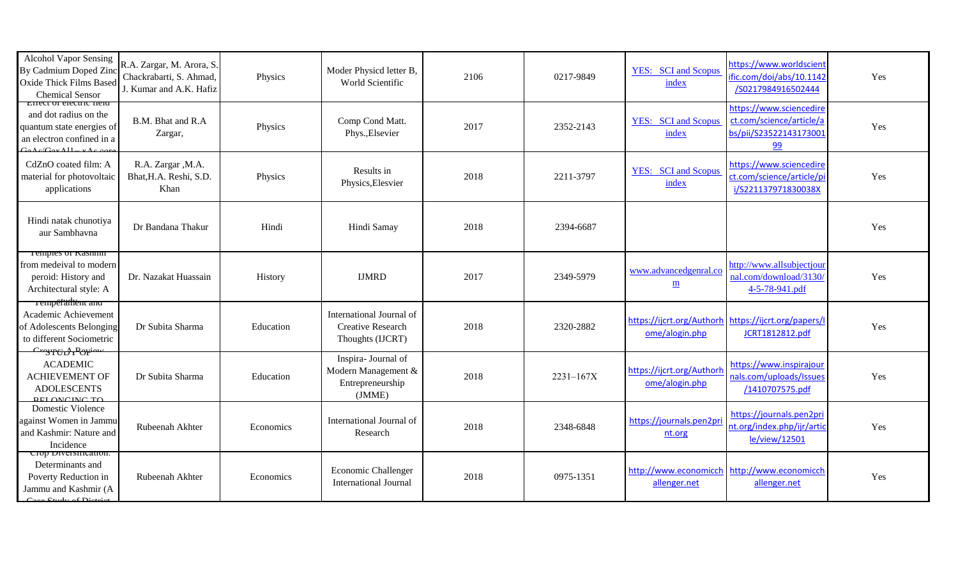| <b>Alcohol Vapor Sensing</b><br>By Cadmium Doped Zinc<br>Oxide Thick Films Based<br><b>Chemical Sensor</b>                | R.A. Zargar, M. Arora, S.<br>Chackrabarti, S. Ahmad,<br>J. Kumar and A.K. Hafiz | Physics   | Moder Physicd letter B,<br>World Scientific                              | 2106 | 0217-9849     | <b>YES:</b> SCI and Scopus<br>index                                   | https://www.worldscient<br>fic.com/doi/abs/10.1142<br>/S0217984916502444            | Yes |
|---------------------------------------------------------------------------------------------------------------------------|---------------------------------------------------------------------------------|-----------|--------------------------------------------------------------------------|------|---------------|-----------------------------------------------------------------------|-------------------------------------------------------------------------------------|-----|
| Effect of electric field<br>and dot radius on the<br>quantum state energies of<br>an electron confined in a<br>$\sqrt{2}$ | B.M. Bhat and R.A<br>Zargar,                                                    | Physics   | Comp Cond Matt.<br>Phys., Elsevier                                       | 2017 | 2352-2143     | <b>YES:</b> SCI and Scopus<br>index                                   | https://www.sciencedire<br>ct.com/science/article/a<br>bs/pii/S23522143173001<br>99 | Yes |
| CdZnO coated film: A<br>material for photovoltaic<br>applications                                                         | R.A. Zargar , M.A.<br>Bhat, H.A. Reshi, S.D.<br>Khan                            | Physics   | Results in<br>Physics, Elesvier                                          | 2018 | 2211-3797     | <b>YES:</b> SCI and Scopus<br>index                                   | https://www.sciencedire<br>ct.com/science/article/pi<br>i/S221137971830038X         | Yes |
| Hindi natak chunotiya<br>aur Sambhavna                                                                                    | Dr Bandana Thakur                                                               | Hindi     | Hindi Samay                                                              | 2018 | 2394-6687     |                                                                       |                                                                                     | Yes |
| Temples of <b>Nashmir</b><br>from medeival to modern<br>peroid: History and<br>Architectural style: A                     | Dr. Nazakat Huassain                                                            | History   | <b>IJMRD</b>                                                             | 2017 | 2349-5979     | www.advancedgenral.co<br>$\mathbf{m}$                                 | http://www.allsubjectjour<br>nal.com/download/3130/<br>4-5-78-941.pdf               | Yes |
| rempetantiem and<br>Academic Achievement<br>of Adolescents Belonging<br>to different Sociometric                          | Dr Subita Sharma                                                                | Education | International Journal of<br><b>Creative Research</b><br>Thoughts (IJCRT) | 2018 | 2320-2882     | https://ijcrt.org/Authorh https://ijcrt.org/papers/<br>ome/alogin.php | JCRT1812812.pdf                                                                     | Yes |
| <del>Craypeid Porin</del><br><b>ACADEMIC</b><br><b>ACHIEVEMENT OF</b><br><b>ADOLESCENTS</b><br><b>DEL ONCINC TO</b>       | Dr Subita Sharma                                                                | Education | Inspira- Journal of<br>Modern Management &<br>Entrepreneurship<br>(JMME) | 2018 | $2231 - 167X$ | https://ijcrt.org/Authorh<br>ome/alogin.php                           | https://www.inspirajour<br>nals.com/uploads/Issues<br>/1410707575.pdf               | Yes |
| <b>Domestic Violence</b><br>against Women in Jammu<br>and Kashmir: Nature and<br>Incidence                                | Rubeenah Akhter                                                                 | Economics | International Journal of<br>Research                                     | 2018 | 2348-6848     | https://journals.pen2pr<br>nt.org                                     | https://journals.pen2pri<br>nt.org/index.php/ijr/artic<br>le/view/12501             | Yes |
| Crop Diversification:<br>Determinants and<br>Poverty Reduction in<br>Jammu and Kashmir (A<br>$C_{\text{tndy of Diotri}}$  | Rubeenah Akhter                                                                 | Economics | Economic Challenger<br><b>International Journal</b>                      | 2018 | 0975-1351     | http://www.economicch http://www.economicch<br>allenger.net           | allenger.net                                                                        | Yes |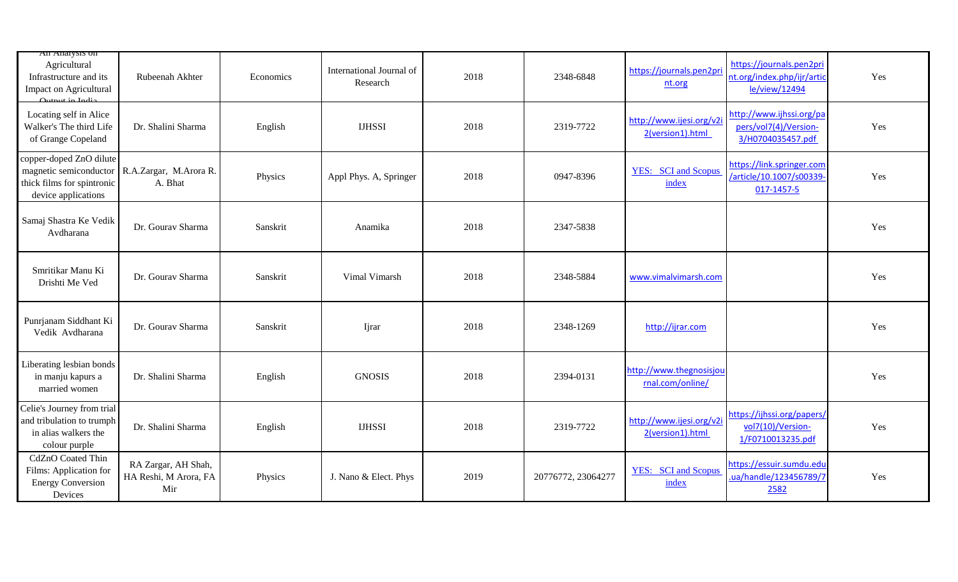| All Allarysis on<br>Agricultural<br>Infrastructure and its<br>Impact on Agricultural<br>Output in Indio | Rubeenah Akhter                                     | Economics | International Journal of<br>Research | 2018 | 2348-6848          | https://journals.pen2pri<br>nt.org           | https://journals.pen2pri<br>nt.org/index.php/ijr/artio<br>le/view/12494 | Yes |
|---------------------------------------------------------------------------------------------------------|-----------------------------------------------------|-----------|--------------------------------------|------|--------------------|----------------------------------------------|-------------------------------------------------------------------------|-----|
| Locating self in Alice<br>Walker's The third Life<br>of Grange Copeland                                 | Dr. Shalini Sharma                                  | English   | <b>IJHSSI</b>                        | 2018 | 2319-7722          | http://www.ijesi.org/v2i<br>2(version1).html | http://www.ijhssi.org/pa<br>pers/vol7(4)/Version-<br>3/H0704035457.pdf  | Yes |
| copper-doped ZnO dilute<br>magnetic semiconductor<br>thick films for spintronic<br>device applications  | R.A.Zargar, M.Arora R.<br>A. Bhat                   | Physics   | Appl Phys. A, Springer               | 2018 | 0947-8396          | <b>YES:</b> SCI and Scopus<br>index          | https://link.springer.com<br>/article/10.1007/s00339-<br>017-1457-5     | Yes |
| Samaj Shastra Ke Vedik<br>Avdharana                                                                     | Dr. Gourav Sharma                                   | Sanskrit  | Anamika                              | 2018 | 2347-5838          |                                              |                                                                         | Yes |
| Smritikar Manu Ki<br>Drishti Me Ved                                                                     | Dr. Gourav Sharma                                   | Sanskrit  | Vimal Vimarsh                        | 2018 | 2348-5884          | www.vimalvimarsh.com                         |                                                                         | Yes |
| Punrjanam Siddhant Ki<br>Vedik Avdharana                                                                | Dr. Gourav Sharma                                   | Sanskrit  | Ijrar                                | 2018 | 2348-1269          | http://ijrar.com                             |                                                                         | Yes |
| Liberating lesbian bonds<br>in manju kapurs a<br>married women                                          | Dr. Shalini Sharma                                  | English   | <b>GNOSIS</b>                        | 2018 | 2394-0131          | http://www.thegnosisjou<br>rnal.com/online/  |                                                                         | Yes |
| Celie's Journey from trial<br>and tribulation to trumph<br>in alias walkers the<br>colour purple        | Dr. Shalini Sharma                                  | English   | <b>IJHSSI</b>                        | 2018 | 2319-7722          | http://www.ijesi.org/v2i<br>2(version1).html | https://ijhssi.org/papers/<br>vol7(10)/Version-<br>1/F0710013235.pdf    | Yes |
| CdZnO Coated Thin<br>Films: Application for<br><b>Energy Conversion</b><br>Devices                      | RA Zargar, AH Shah,<br>HA Reshi, M Arora, FA<br>Mir | Physics   | J. Nano & Elect. Phys                | 2019 | 20776772, 23064277 | <b>YES:</b> SCI and Scopus<br>index          | https://essuir.sumdu.edu<br>ua/handle/123456789/7<br>2582               | Yes |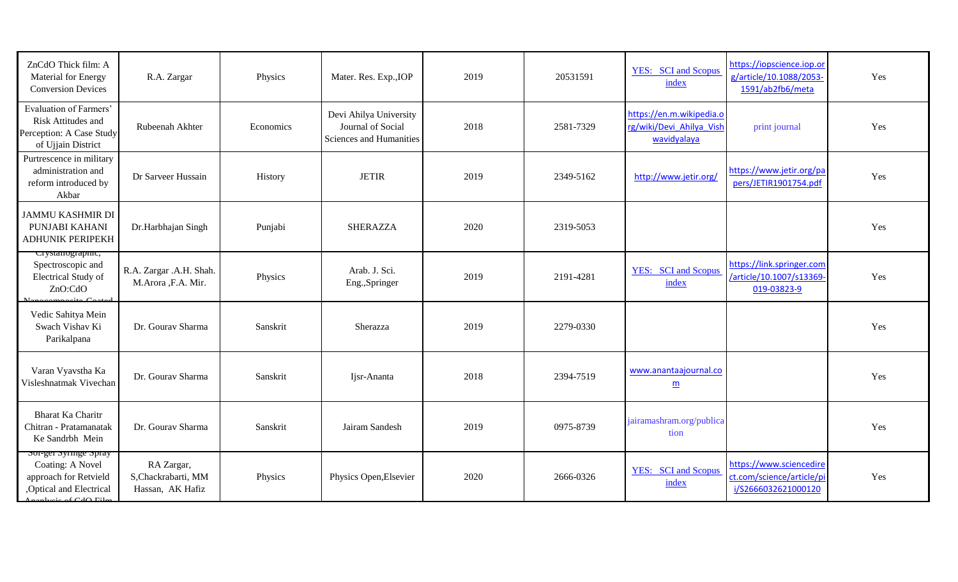| ZnCdO Thick film: A<br>Material for Energy<br><b>Conversion Devices</b>                                                                                     | R.A. Zargar                                           | Physics   | Mater. Res. Exp., IOP                                                  | 2019 | 20531591  | <b>YES:</b> SCI and Scopus<br>index                                 | https://iopscience.iop.or<br>g/article/10.1088/2053-<br>1591/ab2fb6/meta    | Yes |
|-------------------------------------------------------------------------------------------------------------------------------------------------------------|-------------------------------------------------------|-----------|------------------------------------------------------------------------|------|-----------|---------------------------------------------------------------------|-----------------------------------------------------------------------------|-----|
| Evaluation of Farmers'<br>Risk Attitudes and<br>Perception: A Case Study<br>of Ujjain District                                                              | Rubeenah Akhter                                       | Economics | Devi Ahilya University<br>Journal of Social<br>Sciences and Humanities | 2018 | 2581-7329 | https://en.m.wikipedia.o<br>rg/wiki/Devi_Ahilya_Vish<br>wavidyalaya | print journal                                                               | Yes |
| Purtrescence in military<br>administration and<br>reform introduced by<br>Akbar                                                                             | Dr Sarveer Hussain                                    | History   | <b>JETIR</b>                                                           | 2019 | 2349-5162 | http://www.jetir.org/                                               | https://www.jetir.org/pa<br>pers/JETIR1901754.pdf                           | Yes |
| <b>JAMMU KASHMIR DI</b><br>PUNJABI KAHANI<br><b>ADHUNIK PERIPEKH</b>                                                                                        | Dr.Harbhajan Singh                                    | Punjabi   | <b>SHERAZZA</b>                                                        | 2020 | 2319-5053 |                                                                     |                                                                             | Yes |
| crystanograpme,<br>Spectroscopic and<br>Electrical Study of<br>ZnO:CdO<br>$C_{\alpha\alpha}$                                                                | R.A. Zargar .A.H. Shah.<br>M.Arora ,F.A. Mir.         | Physics   | Arab. J. Sci.<br>Eng., Springer                                        | 2019 | 2191-4281 | <b>YES:</b> SCI and Scopus<br>index                                 | https://link.springer.com<br>/article/10.1007/s13369-<br>019-03823-9        | Yes |
| Vedic Sahitya Mein<br>Swach Vishav Ki<br>Parikalpana                                                                                                        | Dr. Gourav Sharma                                     | Sanskrit  | Sherazza                                                               | 2019 | 2279-0330 |                                                                     |                                                                             | Yes |
| Varan Vyavstha Ka<br>Visleshnatmak Vivechan                                                                                                                 | Dr. Gourav Sharma                                     | Sanskrit  | Ijsr-Ananta                                                            | 2018 | 2394-7519 | www.anantaajournal.co<br>$\underline{m}$                            |                                                                             | Yes |
| <b>Bharat Ka Charitr</b><br>Chitran - Pratamanatak<br>Ke Sandrbh Mein                                                                                       | Dr. Gourav Sharma                                     | Sanskrit  | Jairam Sandesh                                                         | 2019 | 0975-8739 | jairamashram.org/publica<br>tion                                    |                                                                             | Yes |
| soi-gei syringe spray<br>Coating: A Novel<br>approach for Retvield<br>,Optical and Electrical<br>$\Delta \text{bias of } C$ <sub>4</sub> $\Delta \text{E1}$ | RA Zargar,<br>S, Chackrabarti, MM<br>Hassan, AK Hafiz | Physics   | Physics Open, Elsevier                                                 | 2020 | 2666-0326 | <b>YES:</b> SCI and Scopus<br>index                                 | https://www.sciencedire<br>ct.com/science/article/pi<br>i/S2666032621000120 | Yes |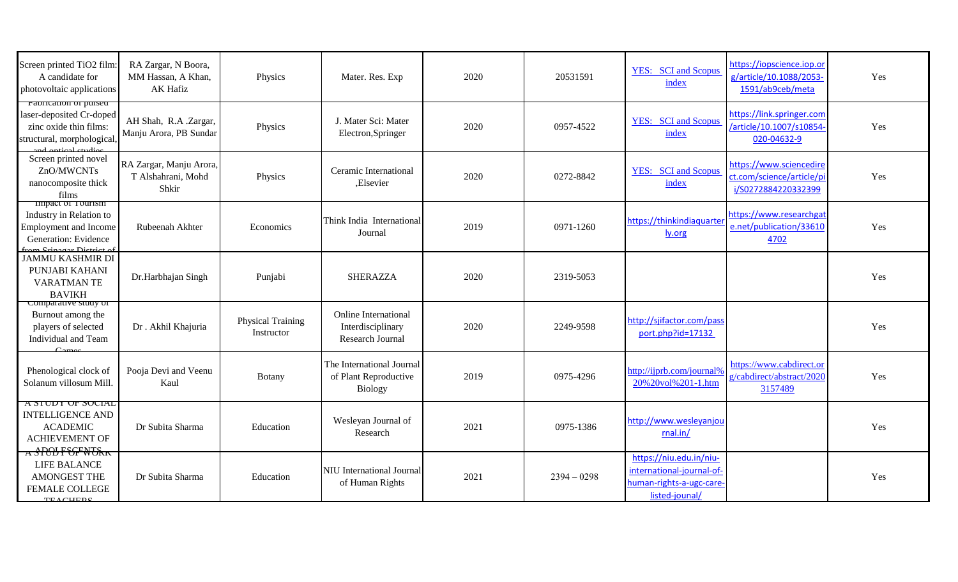| Screen printed TiO2 film:<br>A candidate for<br>photovoltaic applications                                              | RA Zargar, N Boora,<br>MM Hassan, A Khan,<br><b>AK Hafiz</b> | Physics                                | Mater. Res. Exp                                                      | 2020 | 20531591      | <b>YES:</b> SCI and Scopus<br>index                                                               | https://iopscience.iop.or<br>g/article/10.1088/2053-<br>1591/ab9ceb/meta    | Yes |
|------------------------------------------------------------------------------------------------------------------------|--------------------------------------------------------------|----------------------------------------|----------------------------------------------------------------------|------|---------------|---------------------------------------------------------------------------------------------------|-----------------------------------------------------------------------------|-----|
| raorication or pursed<br>laser-deposited Cr-doped<br>zinc oxide thin films:<br>structural, morphological               | AH Shah, R.A .Zargar,<br>Manju Arora, PB Sundar              | Physics                                | J. Mater Sci: Mater<br>Electron, Springer                            | 2020 | 0957-4522     | <b>YES:</b> SCI and Scopus<br>index                                                               | https://link.springer.com<br>/article/10.1007/s10854<br>020-04632-9         | Yes |
| Screen printed novel<br>ZnO/MWCNTs<br>nanocomposite thick<br>films                                                     | RA Zargar, Manju Arora,<br>T Alshahrani, Mohd<br>Shkir       | Physics                                | Ceramic International<br>,Elsevier                                   | 2020 | 0272-8842     | <b>YES:</b> SCI and Scopus<br>index                                                               | https://www.sciencedire<br>ct.com/science/article/pi<br>i/S0272884220332399 | Yes |
| impact of Tourism<br>Industry in Relation to<br>Employment and Income<br>Generation: Evidence<br>rom Cripogor District | Rubeenah Akhter                                              | Economics                              | Think India International<br>Journal                                 | 2019 | 0971-1260     | https://thinkindiaquarter<br>ly.org                                                               | https://www.researchgat<br>e.net/publication/33610<br>4702                  | Yes |
| <b>JAMMU KASHMIR DI</b><br>PUNJABI KAHANI<br>VARATMAN TE<br><b>BAVIKH</b>                                              | Dr.Harbhajan Singh                                           | Punjabi                                | <b>SHERAZZA</b>                                                      | 2020 | 2319-5053     |                                                                                                   |                                                                             | Yes |
| comparative study of<br>Burnout among the<br>players of selected<br>Individual and Team<br>C <sub>oma</sub>            | Dr. Akhil Khajuria                                           | <b>Physical Training</b><br>Instructor | <b>Online International</b><br>Interdisciplinary<br>Research Journal | 2020 | 2249-9598     | http://sjifactor.com/pass<br>port.php?id=17132                                                    |                                                                             | Yes |
| Phenological clock of<br>Solanum villosum Mill.                                                                        | Pooja Devi and Veenu<br>Kaul                                 | Botany                                 | The International Journal<br>of Plant Reproductive<br><b>Biology</b> | 2019 | 0975-4296     | http://ijprb.com/journal%<br>20%20vol%201-1.htm                                                   | https://www.cabdirect.or<br>g/cabdirect/abstract/2020<br>3157489            | Yes |
| A STUDT OF SUCIAL<br><b>INTELLIGENCE AND</b><br><b>ACADEMIC</b><br><b>ACHIEVEMENT OF</b>                               | Dr Subita Sharma                                             | Education                              | Wesleyan Journal of<br>Research                                      | 2021 | 0975-1386     | http://www.wesleyanjou<br>rnal.in/                                                                |                                                                             | Yes |
| A SPOLF CFW UKK<br>LIFE BALANCE<br>AMONGEST THE<br><b>FEMALE COLLEGE</b><br><b>TEACHEDE</b>                            | Dr Subita Sharma                                             | Education                              | NIU International Journal<br>of Human Rights                         | 2021 | $2394 - 0298$ | https://niu.edu.in/niu-<br>international-journal-of-<br>human-rights-a-ugc-care<br>listed-jounal/ |                                                                             | Yes |